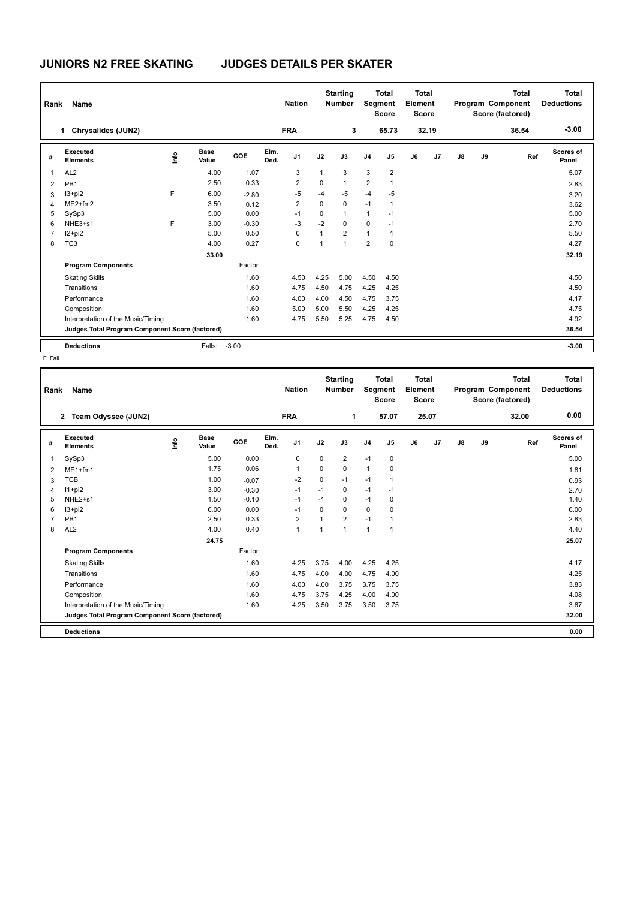## **JUNIORS N2 FREE SKATING JUDGES DETAILS PER SKATER**

| Rank           | Name                                            |    |                      |            |              | <b>Nation</b>  |          | <b>Starting</b><br><b>Number</b> |                | <b>Total</b><br>Segment<br><b>Score</b> | <b>Total</b><br>Element<br><b>Score</b> |       |    |    | <b>Total</b><br>Program Component<br>Score (factored) | Total<br><b>Deductions</b> |
|----------------|-------------------------------------------------|----|----------------------|------------|--------------|----------------|----------|----------------------------------|----------------|-----------------------------------------|-----------------------------------------|-------|----|----|-------------------------------------------------------|----------------------------|
|                | Chrysalides (JUN2)<br>1                         |    |                      |            |              | <b>FRA</b>     |          | 3                                |                | 65.73                                   |                                         | 32.19 |    |    | 36.54                                                 | $-3.00$                    |
| #              | Executed<br><b>Elements</b>                     | ۴ů | <b>Base</b><br>Value | <b>GOE</b> | Elm.<br>Ded. | J1             | J2       | J3                               | J <sub>4</sub> | J <sub>5</sub>                          | J6                                      | J7    | J8 | J9 | Ref                                                   | Scores of<br>Panel         |
| 1              | AL <sub>2</sub>                                 |    | 4.00                 | 1.07       |              | 3              | 1        | 3                                | 3              | $\overline{2}$                          |                                         |       |    |    |                                                       | 5.07                       |
| 2              | PB <sub>1</sub>                                 |    | 2.50                 | 0.33       |              | 2              | 0        | 1                                | $\overline{2}$ | 1                                       |                                         |       |    |    |                                                       | 2.83                       |
| 3              | $13 + pi2$                                      | F  | 6.00                 | $-2.80$    |              | $-5$           | $-4$     | $-5$                             | $-4$           | $-5$                                    |                                         |       |    |    |                                                       | 3.20                       |
| 4              | $ME2+fm2$                                       |    | 3.50                 | 0.12       |              | $\overline{2}$ | $\Omega$ | $\mathbf 0$                      | $-1$           | 1                                       |                                         |       |    |    |                                                       | 3.62                       |
| 5              | SySp3                                           |    | 5.00                 | 0.00       |              | $-1$           | $\Omega$ | 1                                | 1              | $-1$                                    |                                         |       |    |    |                                                       | 5.00                       |
| 6              | NHE3+s1                                         | F  | 3.00                 | $-0.30$    |              | $-3$           | $-2$     | $\Omega$                         | $\Omega$       | $-1$                                    |                                         |       |    |    |                                                       | 2.70                       |
| $\overline{7}$ | $12 + pi2$                                      |    | 5.00                 | 0.50       |              | 0              | 1        | $\overline{2}$                   | 1              | $\mathbf{1}$                            |                                         |       |    |    |                                                       | 5.50                       |
| 8              | TC <sub>3</sub>                                 |    | 4.00                 | 0.27       |              | 0              | 1        | 1                                | $\overline{2}$ | $\mathbf 0$                             |                                         |       |    |    |                                                       | 4.27                       |
|                |                                                 |    | 33.00                |            |              |                |          |                                  |                |                                         |                                         |       |    |    |                                                       | 32.19                      |
|                | <b>Program Components</b>                       |    |                      | Factor     |              |                |          |                                  |                |                                         |                                         |       |    |    |                                                       |                            |
|                | <b>Skating Skills</b>                           |    |                      | 1.60       |              | 4.50           | 4.25     | 5.00                             | 4.50           | 4.50                                    |                                         |       |    |    |                                                       | 4.50                       |
|                | Transitions                                     |    |                      | 1.60       |              | 4.75           | 4.50     | 4.75                             | 4.25           | 4.25                                    |                                         |       |    |    |                                                       | 4.50                       |
|                | Performance                                     |    |                      | 1.60       |              | 4.00           | 4.00     | 4.50                             | 4.75           | 3.75                                    |                                         |       |    |    |                                                       | 4.17                       |
|                | Composition                                     |    |                      | 1.60       |              | 5.00           | 5.00     | 5.50                             | 4.25           | 4.25                                    |                                         |       |    |    |                                                       | 4.75                       |
|                | Interpretation of the Music/Timing              |    |                      | 1.60       |              | 4.75           | 5.50     | 5.25                             | 4.75           | 4.50                                    |                                         |       |    |    |                                                       | 4.92                       |
|                | Judges Total Program Component Score (factored) |    |                      |            |              |                |          |                                  |                |                                         |                                         |       |    |    |                                                       | 36.54                      |
|                | <b>Deductions</b>                               |    | Falls:               | $-3.00$    |              |                |          |                                  |                |                                         |                                         |       |    |    |                                                       | $-3.00$                    |

F Fall

| Rank | Name                                            |    |                      |         |              | <b>Nation</b>  |             | <b>Starting</b><br><b>Number</b> | Segment        | <b>Total</b><br><b>Score</b> | <b>Total</b><br>Element<br><b>Score</b> |       |    |    | <b>Total</b><br>Program Component<br>Score (factored) | <b>Total</b><br><b>Deductions</b> |
|------|-------------------------------------------------|----|----------------------|---------|--------------|----------------|-------------|----------------------------------|----------------|------------------------------|-----------------------------------------|-------|----|----|-------------------------------------------------------|-----------------------------------|
|      | Team Odyssee (JUN2)<br>$\mathbf{2}$             |    |                      |         |              | <b>FRA</b>     |             | 1                                |                | 57.07                        |                                         | 25.07 |    |    | 32.00                                                 | 0.00                              |
| #    | Executed<br><b>Elements</b>                     | ۴ů | <b>Base</b><br>Value | GOE     | Elm.<br>Ded. | J <sub>1</sub> | J2          | J3                               | J <sub>4</sub> | J <sub>5</sub>               | J6                                      | J7    | J8 | J9 | Ref                                                   | Scores of<br>Panel                |
| 1    | SySp3                                           |    | 5.00                 | 0.00    |              | 0              | 0           | 2                                | $-1$           | 0                            |                                         |       |    |    |                                                       | 5.00                              |
| 2    | $ME1+fm1$                                       |    | 1.75                 | 0.06    |              | $\overline{1}$ | $\Omega$    | $\Omega$                         | $\mathbf{1}$   | 0                            |                                         |       |    |    |                                                       | 1.81                              |
| 3    | <b>TCB</b>                                      |    | 1.00                 | $-0.07$ |              | $-2$           | $\mathbf 0$ | $-1$                             | $-1$           | 1                            |                                         |       |    |    |                                                       | 0.93                              |
| 4    | $11+pi2$                                        |    | 3.00                 | $-0.30$ |              | $-1$           | $-1$        | 0                                | $-1$           | $-1$                         |                                         |       |    |    |                                                       | 2.70                              |
| 5    | NHE <sub>2+s1</sub>                             |    | 1.50                 | $-0.10$ |              | $-1$           | $-1$        | 0                                | $-1$           | 0                            |                                         |       |    |    |                                                       | 1.40                              |
| 6    | $13 + pi2$                                      |    | 6.00                 | 0.00    |              | $-1$           | $\Omega$    | $\Omega$                         | $\Omega$       | 0                            |                                         |       |    |    |                                                       | 6.00                              |
| 7    | PB <sub>1</sub>                                 |    | 2.50                 | 0.33    |              | $\overline{2}$ | 1           | $\overline{2}$                   | $-1$           | $\mathbf{1}$                 |                                         |       |    |    |                                                       | 2.83                              |
| 8    | AL <sub>2</sub>                                 |    | 4.00                 | 0.40    |              | $\mathbf{1}$   | 1           | $\mathbf{1}$                     | $\mathbf{1}$   | $\overline{1}$               |                                         |       |    |    |                                                       | 4.40                              |
|      |                                                 |    | 24.75                |         |              |                |             |                                  |                |                              |                                         |       |    |    |                                                       | 25.07                             |
|      | <b>Program Components</b>                       |    |                      | Factor  |              |                |             |                                  |                |                              |                                         |       |    |    |                                                       |                                   |
|      | <b>Skating Skills</b>                           |    |                      | 1.60    |              | 4.25           | 3.75        | 4.00                             | 4.25           | 4.25                         |                                         |       |    |    |                                                       | 4.17                              |
|      | Transitions                                     |    |                      | 1.60    |              | 4.75           | 4.00        | 4.00                             | 4.75           | 4.00                         |                                         |       |    |    |                                                       | 4.25                              |
|      | Performance                                     |    |                      | 1.60    |              | 4.00           | 4.00        | 3.75                             | 3.75           | 3.75                         |                                         |       |    |    |                                                       | 3.83                              |
|      | Composition                                     |    |                      | 1.60    |              | 4.75           | 3.75        | 4.25                             | 4.00           | 4.00                         |                                         |       |    |    |                                                       | 4.08                              |
|      | Interpretation of the Music/Timing              |    |                      | 1.60    |              | 4.25           | 3.50        | 3.75                             | 3.50           | 3.75                         |                                         |       |    |    |                                                       | 3.67                              |
|      | Judges Total Program Component Score (factored) |    |                      |         |              |                |             |                                  |                |                              |                                         |       |    |    |                                                       | 32.00                             |
|      | <b>Deductions</b>                               |    |                      |         |              |                |             |                                  |                |                              |                                         |       |    |    |                                                       | 0.00                              |
|      |                                                 |    |                      |         |              |                |             |                                  |                |                              |                                         |       |    |    |                                                       |                                   |